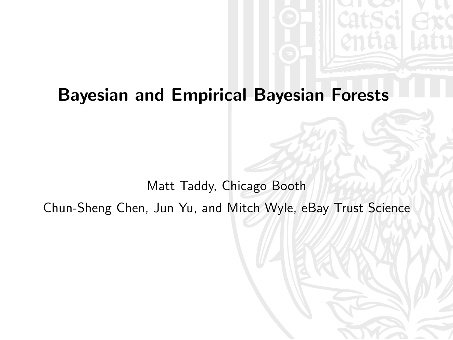# Bayesian and Empirical Bayesian Forests

Matt Taddy, Chicago Booth Chun-Sheng Chen, Jun Yu, and Mitch Wyle, eBay Trust Science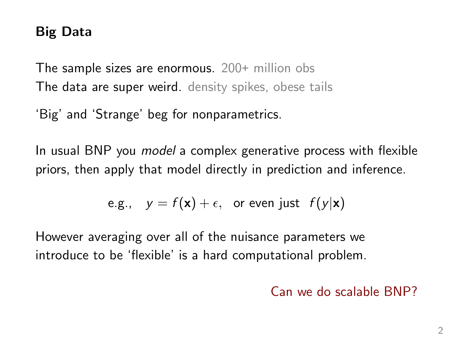# Big Data

The sample sizes are enormous. 200+ million obs The data are super weird. density spikes, obese tails

'Big' and 'Strange' beg for nonparametrics.

In usual BNP you model a complex generative process with flexible priors, then apply that model directly in prediction and inference.

e.g., 
$$
y = f(x) + \epsilon
$$
, or even just  $f(y|x)$ 

However averaging over all of the nuisance parameters we introduce to be 'flexible' is a hard computational problem.

#### Can we do scalable BNP?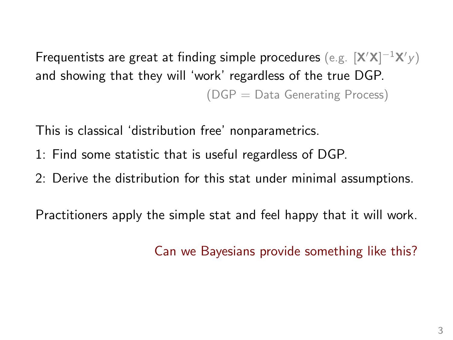Frequentists are great at finding simple procedures  $(\text{e.g. } [\textbf{X}'\textbf{X}]^{-1}\textbf{X}'y)$ and showing that they will 'work' regardless of the true DGP. (DGP = Data Generating Process)

This is classical 'distribution free' nonparametrics.

- 1: Find some statistic that is useful regardless of DGP.
- 2: Derive the distribution for this stat under minimal assumptions.

Practitioners apply the simple stat and feel happy that it will work.

Can we Bayesians provide something like this?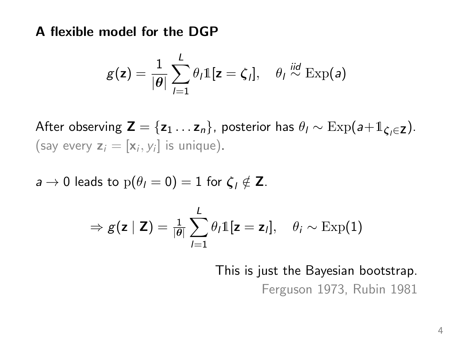A flexible model for the DGP

$$
g(\mathbf{z}) = \frac{1}{|\theta|} \sum_{l=1}^{L} \theta_l \mathbb{1}[\mathbf{z} = \zeta_l], \quad \theta_l \stackrel{\text{iid}}{\sim} \text{Exp}(a)
$$

After observing  $\mathbf{Z} = \{z_1 \dots z_n\}$ , posterior has  $\theta_I \sim \text{Exp}(a+1_{\mathcal{L}, \in \mathbf{Z}})$ . (say every  $z_i = [x_i, y_i]$  is unique).

 $a \to 0$  leads to  $p(\theta_l = 0) = 1$  for  $\zeta_l \notin \mathbb{Z}$ .

$$
\Rightarrow g(\mathbf{z} \mid \mathbf{Z}) = \frac{1}{|\theta|} \sum_{l=1}^{L} \theta_l \mathbb{1}[\mathbf{z} = \mathbf{z}_l], \quad \theta_i \sim \text{Exp}(1)
$$

This is just the Bayesian bootstrap.

Ferguson 1973, Rubin 1981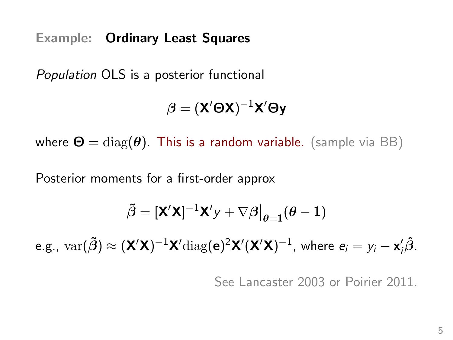Example: Ordinary Least Squares

Population OLS is a posterior functional

$$
\boldsymbol{\beta} = (\mathbf{X}'\boldsymbol{\Theta}\mathbf{X})^{-1}\mathbf{X}'\boldsymbol{\Theta}\mathbf{y}
$$

where  $\mathbf{\Theta} = \text{diag}(\boldsymbol{\theta})$ . This is a random variable. (sample via BB)

Posterior moments for a first-order approx

$$
\tilde{\boldsymbol{\beta}} = [\mathbf{X}'\mathbf{X}]^{-1}\mathbf{X}'\mathbf{y} + \nabla\boldsymbol{\beta}\big|_{\boldsymbol{\theta} = \mathbf{1}}(\boldsymbol{\theta} - \mathbf{1})
$$

e.g.,  $var(\tilde{\beta}) \approx (\mathbf{X}'\mathbf{X})^{-1}\mathbf{X}'diag(\mathbf{e})^2\mathbf{X}'(\mathbf{X}'\mathbf{X})^{-1}$ , where  $e_i = y_i - \mathbf{x}'_i\hat{\beta}$ .

See Lancaster 2003 or Poirier 2011.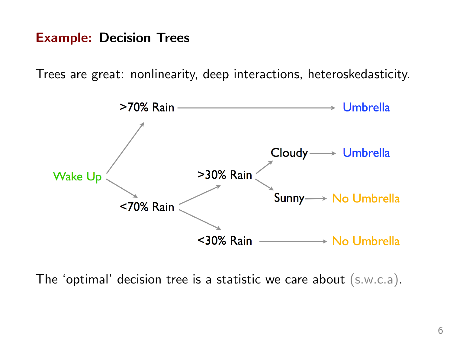#### Example: Decision Trees

Trees are great: nonlinearity, deep interactions, heteroskedasticity.



The 'optimal' decision tree is a statistic we care about (s.w.c.a).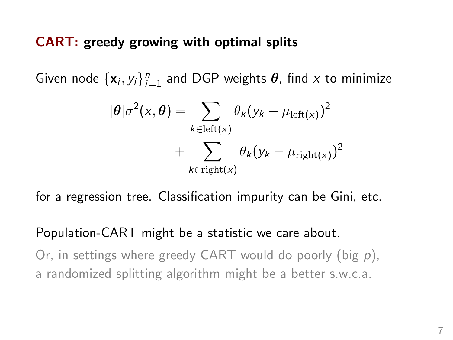#### CART: greedy growing with optimal splits

Given node  $\{x_i, y_i\}_{i=1}^n$  and DGP weights  $\theta$ , find x to minimize

$$
|\theta|\sigma^{2}(x,\theta) = \sum_{k \in \text{left}(x)} \theta_{k}(y_{k} - \mu_{\text{left}(x)})^{2} + \sum_{k \in \text{right}(x)} \theta_{k}(y_{k} - \mu_{\text{right}(x)})^{2}
$$

for a regression tree. Classification impurity can be Gini, etc.

#### Population-CART might be a statistic we care about.

Or, in settings where greedy CART would do poorly (big p), a randomized splitting algorithm might be a better s.w.c.a.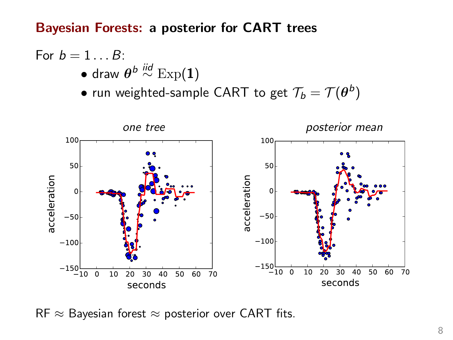Bayesian Forests: a posterior for CART trees

For 
$$
b = 1...B
$$
:  
\n• draw  $\theta^{b} \stackrel{iid}{\sim} \text{Exp}(1)$   
\n• run weighted-sample CART to get  $\mathcal{T}_b = \mathcal{T}(\theta^b)$ 



RF  $\approx$  Bayesian forest  $\approx$  posterior over CART fits.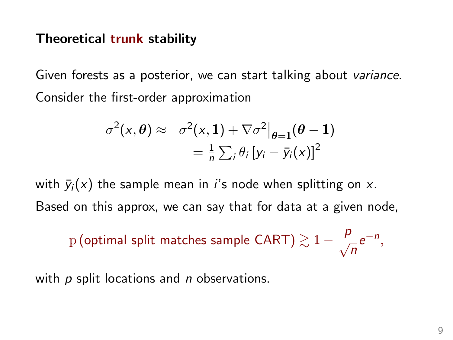#### Theoretical trunk stability

Given forests as a posterior, we can start talking about variance. Consider the first-order approximation

$$
\sigma^{2}(x, \theta) \approx \sigma^{2}(x, 1) + \nabla \sigma^{2} |_{\theta=1}(\theta-1)
$$

$$
= \frac{1}{n} \sum_{i} \theta_{i} [y_{i} - \bar{y}_{i}(x)]^{2}
$$

with  $\bar{y}_i(x)$  the sample mean in *i*'s node when splitting on x. Based on this approx, we can say that for data at a given node,

 $\frac{1}{p}$  (optimal split matches sample CART)  $\gtrsim 1-\frac{p}{q}$  $\frac{1}{n}e^{-n}$ ,

with  $p$  split locations and  $n$  observations.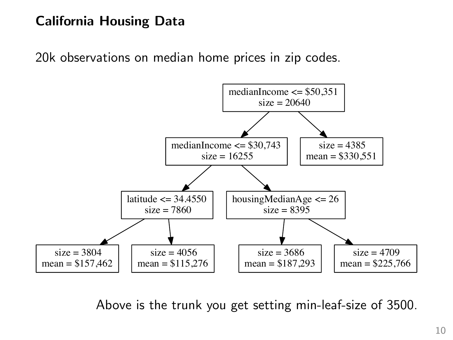# **California Housing Data**

20k observations on median home prices in zip codes.



Above is the trunk you get setting min-leaf-size of 3500.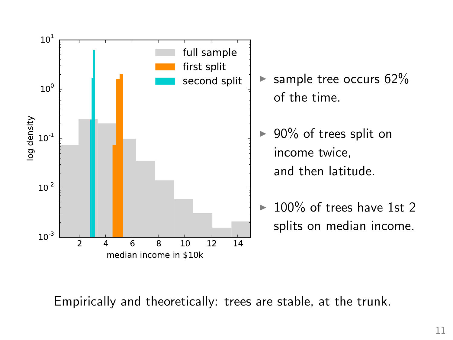

Empirically and theoretically: trees are stable, at the trunk.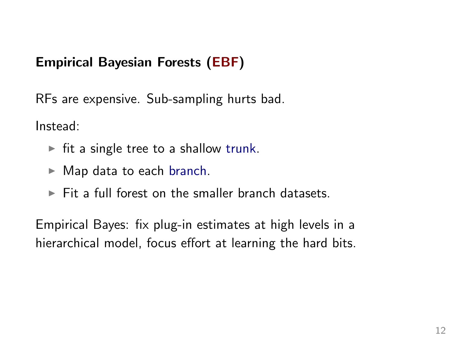# Empirical Bayesian Forests (EBF)

RFs are expensive. Sub-sampling hurts bad.

Instead:

- $\triangleright$  fit a single tree to a shallow trunk.
- $\blacktriangleright$  Map data to each branch.
- $\triangleright$  Fit a full forest on the smaller branch datasets.

Empirical Bayes: fix plug-in estimates at high levels in a hierarchical model, focus effort at learning the hard bits.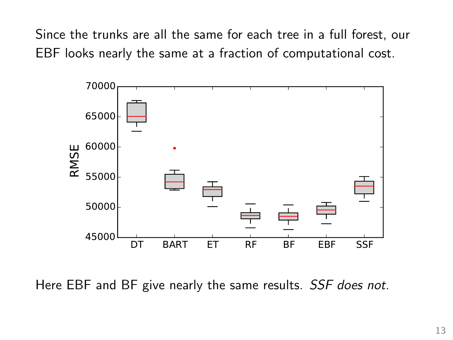Since the trunks are all the same for each tree in a full forest, our EBF looks nearly the same at a fraction of computational cost.



Here EBF and BF give nearly the same results. SSF does not.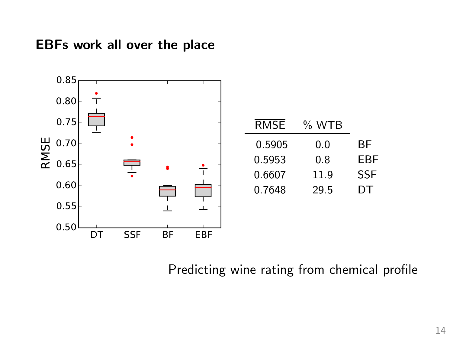

| % WTB |            |
|-------|------------|
| 0.0   | ВF         |
| 0.8   | FRF        |
| 11.9  | <b>SSF</b> |
| 29.5  | DT         |
|       |            |

#### Predicting wine rating from chemical profile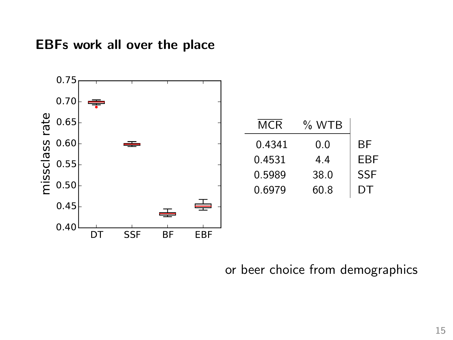

| MCR    | % WTB |            |
|--------|-------|------------|
| 0.4341 | 0.0   | ВF         |
| 0.4531 | 44    | EBF        |
| 0.5989 | 38.0  | <b>SSF</b> |
| 0.6979 | 60.8  | DТ         |

### or beer choice from demographics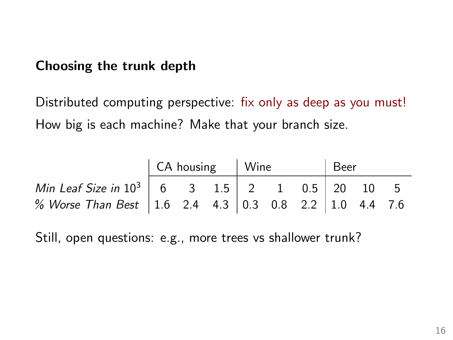#### Choosing the trunk depth

Distributed computing perspective: fix only as deep as you must! How big is each machine? Make that your branch size.

|                                                             | CA housing   Wine |  |  |  |  |  | Beer |  |  |
|-------------------------------------------------------------|-------------------|--|--|--|--|--|------|--|--|
| Min Leaf Size in $10^3$   6 3 1.5   2 1 0.5   20 10 5       |                   |  |  |  |  |  |      |  |  |
| % Worse Than Best   1.6 2.4 4.3   0.3 0.8 2.2   1.0 4.4 7.6 |                   |  |  |  |  |  |      |  |  |

Still, open questions: e.g., more trees vs shallower trunk?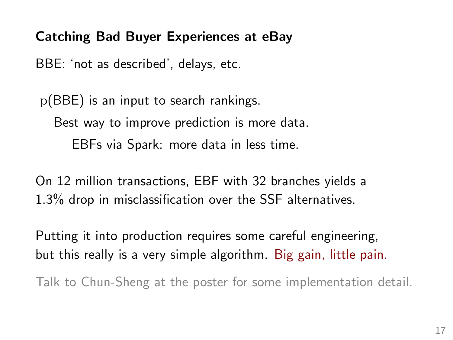# Catching Bad Buyer Experiences at eBay

BBE: 'not as described', delays, etc.

p(BBE) is an input to search rankings. Best way to improve prediction is more data. EBFs via Spark: more data in less time.

On 12 million transactions, EBF with 32 branches yields a 1.3% drop in misclassification over the SSF alternatives.

Putting it into production requires some careful engineering, but this really is a very simple algorithm. Big gain, little pain.

Talk to Chun-Sheng at the poster for some implementation detail.